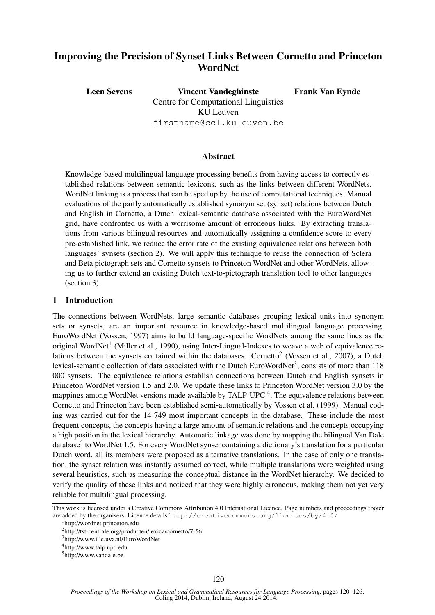# Improving the Precision of Synset Links Between Cornetto and Princeton **WordNet**

Leen Sevens Vincent Vandeghinste Centre for Computational Linguistics KU Leuven firstname@ccl.kuleuven.be Frank Van Eynde

## Abstract

Knowledge-based multilingual language processing benefits from having access to correctly established relations between semantic lexicons, such as the links between different WordNets. WordNet linking is a process that can be sped up by the use of computational techniques. Manual evaluations of the partly automatically established synonym set (synset) relations between Dutch and English in Cornetto, a Dutch lexical-semantic database associated with the EuroWordNet grid, have confronted us with a worrisome amount of erroneous links. By extracting translations from various bilingual resources and automatically assigning a confidence score to every pre-established link, we reduce the error rate of the existing equivalence relations between both languages' synsets (section 2). We will apply this technique to reuse the connection of Sclera and Beta pictograph sets and Cornetto synsets to Princeton WordNet and other WordNets, allowing us to further extend an existing Dutch text-to-pictograph translation tool to other languages (section 3).

# 1 Introduction

The connections between WordNets, large semantic databases grouping lexical units into synonym sets or synsets, are an important resource in knowledge-based multilingual language processing. EuroWordNet (Vossen, 1997) aims to build language-specific WordNets among the same lines as the original WordNet<sup>1</sup> (Miller et al., 1990), using Inter-Lingual-Indexes to weave a web of equivalence relations between the synsets contained within the databases. Cornetto<sup>2</sup> (Vossen et al., 2007), a Dutch lexical-semantic collection of data associated with the Dutch EuroWordNet<sup>3</sup>, consists of more than 118 000 synsets. The equivalence relations establish connections between Dutch and English synsets in Princeton WordNet version 1.5 and 2.0. We update these links to Princeton WordNet version 3.0 by the mappings among WordNet versions made available by TALP-UPC<sup>4</sup>. The equivalence relations between Cornetto and Princeton have been established semi-automatically by Vossen et al. (1999). Manual coding was carried out for the 14 749 most important concepts in the database. These include the most frequent concepts, the concepts having a large amount of semantic relations and the concepts occupying a high position in the lexical hierarchy. Automatic linkage was done by mapping the bilingual Van Dale database<sup>5</sup> to WordNet 1.5. For every WordNet synset containing a dictionary's translation for a particular Dutch word, all its members were proposed as alternative translations. In the case of only one translation, the synset relation was instantly assumed correct, while multiple translations were weighted using several heuristics, such as measuring the conceptual distance in the WordNet hierarchy. We decided to verify the quality of these links and noticed that they were highly erroneous, making them not yet very reliable for multilingual processing.

This work is licensed under a Creative Commons Attribution 4.0 International Licence. Page numbers and proceedings footer are added by the organisers. Licence details:http://creativecommons.org/licenses/by/4.0/

<sup>1</sup> http://wordnet.princeton.edu

<sup>&</sup>lt;sup>2</sup>http://tst-centrale.org/producten/lexica/cornetto/7-56

<sup>3</sup> http://www.illc.uva.nl/EuroWordNet

<sup>4</sup> http://www.talp.upc.edu

<sup>5</sup> http://www.vandale.be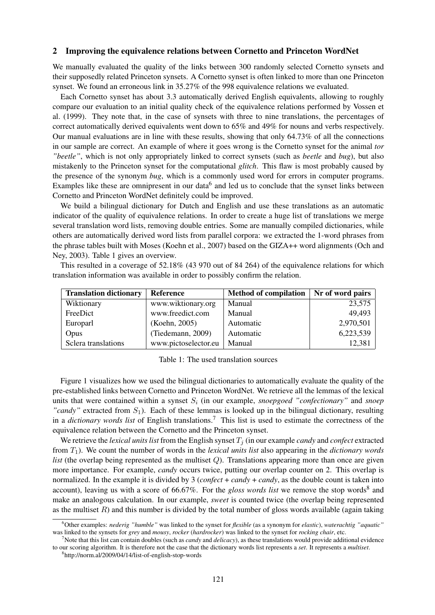#### 2 Improving the equivalence relations between Cornetto and Princeton WordNet

We manually evaluated the quality of the links between 300 randomly selected Cornetto synsets and their supposedly related Princeton synsets. A Cornetto synset is often linked to more than one Princeton synset. We found an erroneous link in 35.27% of the 998 equivalence relations we evaluated.

Each Cornetto synset has about 3.3 automatically derived English equivalents, allowing to roughly compare our evaluation to an initial quality check of the equivalence relations performed by Vossen et al. (1999). They note that, in the case of synsets with three to nine translations, the percentages of correct automatically derived equivalents went down to 65% and 49% for nouns and verbs respectively. Our manual evaluations are in line with these results, showing that only 64.73% of all the connections in our sample are correct. An example of where it goes wrong is the Cornetto synset for the animal *tor "beetle"*, which is not only appropriately linked to correct synsets (such as *beetle* and *bug*), but also mistakenly to the Princeton synset for the computational *glitch*. This flaw is most probably caused by the presence of the synonym *bug*, which is a commonly used word for errors in computer programs. Examples like these are omnipresent in our data<sup>6</sup> and led us to conclude that the synset links between Cornetto and Princeton WordNet definitely could be improved.

We build a bilingual dictionary for Dutch and English and use these translations as an automatic indicator of the quality of equivalence relations. In order to create a huge list of translations we merge several translation word lists, removing double entries. Some are manually compiled dictionaries, while others are automatically derived word lists from parallel corpora: we extracted the 1-word phrases from the phrase tables built with Moses (Koehn et al., 2007) based on the GIZA++ word alignments (Och and Ney, 2003). Table 1 gives an overview.

This resulted in a coverage of 52.18% (43 970 out of 84 264) of the equivalence relations for which translation information was available in order to possibly confirm the relation.

| <b>Translation dictionary</b> | Reference            | <b>Method of compilation</b> |           |
|-------------------------------|----------------------|------------------------------|-----------|
| Wiktionary                    | www.wiktionary.org   | Manual                       | 23,575    |
| FreeDict                      | www.freedict.com     | Manual                       | 49,493    |
| Europarl                      | (Koehn, 2005)        | Automatic                    | 2,970,501 |
| Opus                          | (Tiedemann, 2009)    | Automatic                    | 6,223,539 |
| Sclera translations           | www.pictoselector.eu | Manual                       | 12,381    |

| Table 1: The used translation sources |
|---------------------------------------|
|---------------------------------------|

Figure 1 visualizes how we used the bilingual dictionaries to automatically evaluate the quality of the pre-established links between Cornetto and Princeton WordNet. We retrieve all the lemmas of the lexical units that were contained within a synset  $S_i$  (in our example, *snoepgoed "confectionary"* and *snoep* "candy" extracted from  $S_1$ ). Each of these lemmas is looked up in the bilingual dictionary, resulting in a *dictionary words list* of English translations.<sup>7</sup> This list is used to estimate the correctness of the equivalence relation between the Cornetto and the Princeton synset.

We retrieve the *lexical units list* from the English synset  $T_i$  (in our example *candy* and *confect* extracted from T1). We count the number of words in the *lexical units list* also appearing in the *dictionary words list* (the overlap being represented as the multiset Q). Translations appearing more than once are given more importance. For example, *candy* occurs twice, putting our overlap counter on 2. This overlap is normalized. In the example it is divided by 3 (*confect* + *candy* + *candy*, as the double count is taken into account), leaving us with a score of 66.67%. For the *gloss words list* we remove the stop words<sup>8</sup> and make an analogous calculation. In our example, *sweet* is counted twice (the overlap being represented as the multiset  $R$ ) and this number is divided by the total number of gloss words available (again taking

<sup>6</sup>Other examples: *nederig "humble"* was linked to the synset for *flexible* (as a synonym for *elastic*), *waterachtig "aquatic"* was linked to the synsets for *grey* and *mousy*, *rocker* (*hardrocker*) was linked to the synset for *rocking chair*, etc.

<sup>7</sup>Note that this list can contain doubles (such as *candy* and *delicacy*), as these translations would provide additional evidence to our scoring algorithm. It is therefore not the case that the dictionary words list represents a *set*. It represents a *multiset*.

<sup>8</sup> http://norm.al/2009/04/14/list-of-english-stop-words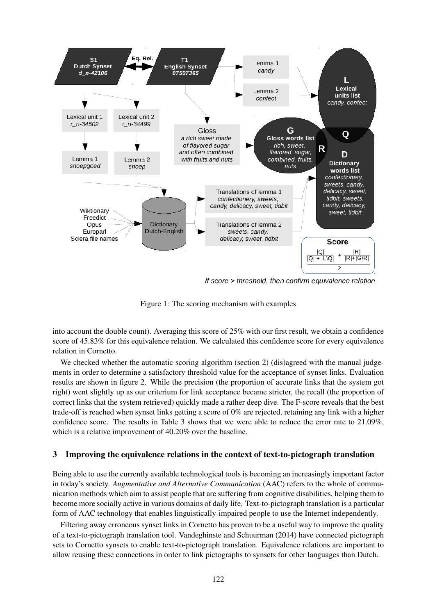

If score > threshold, then confirm equivalence relation

Figure 1: The scoring mechanism with examples

into account the double count). Averaging this score of 25% with our first result, we obtain a confidence score of 45.83% for this equivalence relation. We calculated this confidence score for every equivalence relation in Cornetto.

We checked whether the automatic scoring algorithm (section 2) (dis)agreed with the manual judgements in order to determine a satisfactory threshold value for the acceptance of synset links. Evaluation results are shown in figure 2. While the precision (the proportion of accurate links that the system got right) went slightly up as our criterium for link acceptance became stricter, the recall (the proportion of correct links that the system retrieved) quickly made a rather deep dive. The F-score reveals that the best trade-off is reached when synset links getting a score of 0% are rejected, retaining any link with a higher confidence score. The results in Table 3 shows that we were able to reduce the error rate to 21.09%, which is a relative improvement of 40.20% over the baseline.

# 3 Improving the equivalence relations in the context of text-to-pictograph translation

Being able to use the currently available technological tools is becoming an increasingly important factor in today's society. *Augmentative and Alternative Communication* (AAC) refers to the whole of communication methods which aim to assist people that are suffering from cognitive disabilities, helping them to become more socially active in various domains of daily life. Text-to-pictograph translation is a particular form of AAC technology that enables linguistically-impaired people to use the Internet independently.

Filtering away erroneous synset links in Cornetto has proven to be a useful way to improve the quality of a text-to-pictograph translation tool. Vandeghinste and Schuurman (2014) have connected pictograph sets to Cornetto synsets to enable text-to-pictograph translation. Equivalence relations are important to allow reusing these connections in order to link pictographs to synsets for other languages than Dutch.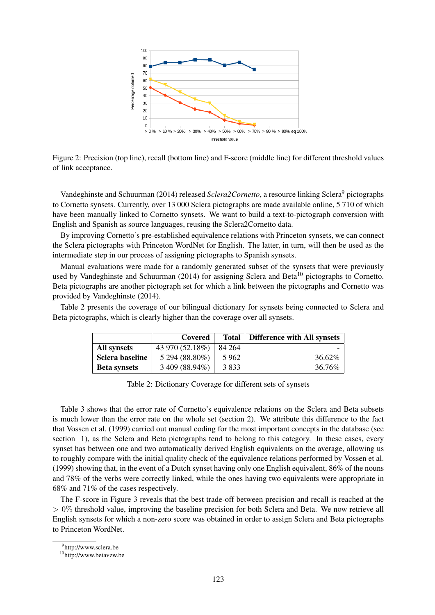

Figure 2: Precision (top line), recall (bottom line) and F-score (middle line) for different threshold values of link acceptance.

Vandeghinste and Schuurman (2014) released *Sclera2Cornetto*, a resource linking Sclera<sup>9</sup> pictographs to Cornetto synsets. Currently, over 13 000 Sclera pictographs are made available online, 5 710 of which have been manually linked to Cornetto synsets. We want to build a text-to-pictograph conversion with English and Spanish as source languages, reusing the Sclera2Cornetto data.

By improving Cornetto's pre-established equivalence relations with Princeton synsets, we can connect the Sclera pictographs with Princeton WordNet for English. The latter, in turn, will then be used as the intermediate step in our process of assigning pictographs to Spanish synsets.

Manual evaluations were made for a randomly generated subset of the synsets that were previously used by Vandeghinste and Schuurman (2014) for assigning Sclera and Beta<sup>10</sup> pictographs to Cornetto. Beta pictographs are another pictograph set for which a link between the pictographs and Cornetto was provided by Vandeghinste (2014).

Table 2 presents the coverage of our bilingual dictionary for synsets being connected to Sclera and Beta pictographs, which is clearly higher than the coverage over all synsets.

|                     | Covered         | <b>Total</b> | <b>Difference with All synsets</b> |
|---------------------|-----------------|--------------|------------------------------------|
| All synsets         | 43 970 (52.18%) | 84 264       |                                    |
| Sclera baseline     | 5 294 (88.80%)  | 5962         | 36.62%                             |
| <b>Beta synsets</b> | 3 409 (88.94%)  | 3 8 3 3      | 36.76%                             |

Table 2: Dictionary Coverage for different sets of synsets

Table 3 shows that the error rate of Cornetto's equivalence relations on the Sclera and Beta subsets is much lower than the error rate on the whole set (section 2). We attribute this difference to the fact that Vossen et al. (1999) carried out manual coding for the most important concepts in the database (see section 1), as the Sclera and Beta pictographs tend to belong to this category. In these cases, every synset has between one and two automatically derived English equivalents on the average, allowing us to roughly compare with the initial quality check of the equivalence relations performed by Vossen et al. (1999) showing that, in the event of a Dutch synset having only one English equivalent, 86% of the nouns and 78% of the verbs were correctly linked, while the ones having two equivalents were appropriate in 68% and 71% of the cases respectively.

The F-score in Figure 3 reveals that the best trade-off between precision and recall is reached at the  $> 0\%$  threshold value, improving the baseline precision for both Sclera and Beta. We now retrieve all English synsets for which a non-zero score was obtained in order to assign Sclera and Beta pictographs to Princeton WordNet.

<sup>9</sup> http://www.sclera.be

<sup>10</sup>http://www.betavzw.be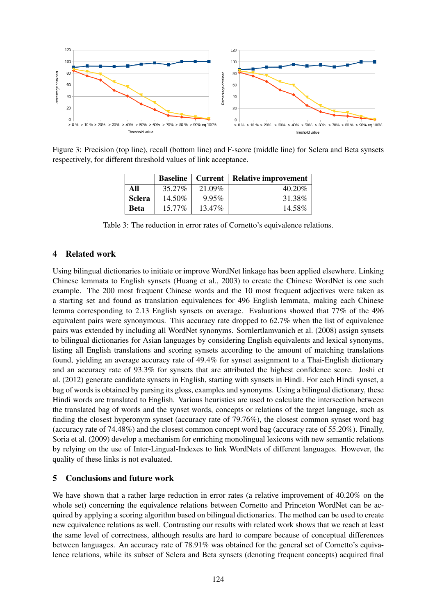

Figure 3: Precision (top line), recall (bottom line) and F-score (middle line) for Sclera and Beta synsets respectively, for different threshold values of link acceptance.

|               | <b>Baseline</b> | Current   | <b>Relative improvement</b> |
|---------------|-----------------|-----------|-----------------------------|
| All           | 35.27%          | 21.09%    | 40.20%                      |
| <b>Sclera</b> | 14.50%          | 9.95%     | 31.38%                      |
| <b>Beta</b>   | $15.77\%$       | $13.47\%$ | 14.58%                      |

Table 3: The reduction in error rates of Cornetto's equivalence relations.

# 4 Related work

Using bilingual dictionaries to initiate or improve WordNet linkage has been applied elsewhere. Linking Chinese lemmata to English synsets (Huang et al., 2003) to create the Chinese WordNet is one such example. The 200 most frequent Chinese words and the 10 most frequent adjectives were taken as a starting set and found as translation equivalences for 496 English lemmata, making each Chinese lemma corresponding to 2.13 English synsets on average. Evaluations showed that 77% of the 496 equivalent pairs were synonymous. This accuracy rate dropped to 62.7% when the list of equivalence pairs was extended by including all WordNet synonyms. Sornlertlamvanich et al. (2008) assign synsets to bilingual dictionaries for Asian languages by considering English equivalents and lexical synonyms, listing all English translations and scoring synsets according to the amount of matching translations found, yielding an average accuracy rate of 49.4% for synset assignment to a Thai-English dictionary and an accuracy rate of 93.3% for synsets that are attributed the highest confidence score. Joshi et al. (2012) generate candidate synsets in English, starting with synsets in Hindi. For each Hindi synset, a bag of words is obtained by parsing its gloss, examples and synonyms. Using a bilingual dictionary, these Hindi words are translated to English. Various heuristics are used to calculate the intersection between the translated bag of words and the synset words, concepts or relations of the target language, such as finding the closest hyperonym synset (accuracy rate of 79.76%), the closest common synset word bag (accuracy rate of 74.48%) and the closest common concept word bag (accuracy rate of 55.20%). Finally, Soria et al. (2009) develop a mechanism for enriching monolingual lexicons with new semantic relations by relying on the use of Inter-Lingual-Indexes to link WordNets of different languages. However, the quality of these links is not evaluated.

### 5 Conclusions and future work

We have shown that a rather large reduction in error rates (a relative improvement of 40.20% on the whole set) concerning the equivalence relations between Cornetto and Princeton WordNet can be acquired by applying a scoring algorithm based on bilingual dictionaries. The method can be used to create new equivalence relations as well. Contrasting our results with related work shows that we reach at least the same level of correctness, although results are hard to compare because of conceptual differences between languages. An accuracy rate of 78.91% was obtained for the general set of Cornetto's equivalence relations, while its subset of Sclera and Beta synsets (denoting frequent concepts) acquired final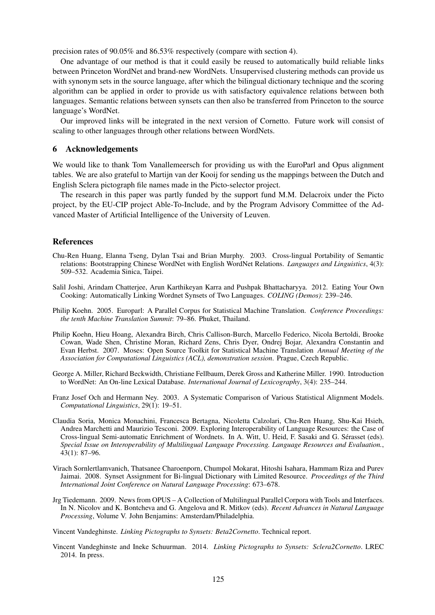precision rates of 90.05% and 86.53% respectively (compare with section 4).

One advantage of our method is that it could easily be reused to automatically build reliable links between Princeton WordNet and brand-new WordNets. Unsupervised clustering methods can provide us with synonym sets in the source language, after which the bilingual dictionary technique and the scoring algorithm can be applied in order to provide us with satisfactory equivalence relations between both languages. Semantic relations between synsets can then also be transferred from Princeton to the source language's WordNet.

Our improved links will be integrated in the next version of Cornetto. Future work will consist of scaling to other languages through other relations between WordNets.

### 6 Acknowledgements

We would like to thank Tom Vanallemeersch for providing us with the EuroParl and Opus alignment tables. We are also grateful to Martijn van der Kooij for sending us the mappings between the Dutch and English Sclera pictograph file names made in the Picto-selector project.

The research in this paper was partly funded by the support fund M.M. Delacroix under the Picto project, by the EU-CIP project Able-To-Include, and by the Program Advisory Committee of the Advanced Master of Artificial Intelligence of the University of Leuven.

### References

- Chu-Ren Huang, Elanna Tseng, Dylan Tsai and Brian Murphy. 2003. Cross-lingual Portability of Semantic relations: Bootstrapping Chinese WordNet with English WordNet Relations. *Languages and Linguistics*, 4(3): 509–532. Academia Sinica, Taipei.
- Salil Joshi, Arindam Chatterjee, Arun Karthikeyan Karra and Pushpak Bhattacharyya. 2012. Eating Your Own Cooking: Automatically Linking Wordnet Synsets of Two Languages. *COLING (Demos)*: 239–246.
- Philip Koehn. 2005. Europarl: A Parallel Corpus for Statistical Machine Translation. *Conference Proceedings: the tenth Machine Translation Summit*: 79–86. Phuket, Thailand.
- Philip Koehn, Hieu Hoang, Alexandra Birch, Chris Callison-Burch, Marcello Federico, Nicola Bertoldi, Brooke Cowan, Wade Shen, Christine Moran, Richard Zens, Chris Dyer, Ondrej Bojar, Alexandra Constantin and Evan Herbst. 2007. Moses: Open Source Toolkit for Statistical Machine Translation *Annual Meeting of the Association for Computational Linguistics (ACL), demonstration session*. Prague, Czech Republic.
- George A. Miller, Richard Beckwidth, Christiane Fellbaum, Derek Gross and Katherine Miller. 1990. Introduction to WordNet: An On-line Lexical Database. *International Journal of Lexicography*, 3(4): 235–244.
- Franz Josef Och and Hermann Ney. 2003. A Systematic Comparison of Various Statistical Alignment Models. *Computational Linguistics*, 29(1): 19–51.
- Claudia Soria, Monica Monachini, Francesca Bertagna, Nicoletta Calzolari, Chu-Ren Huang, Shu-Kai Hsieh, Andrea Marchetti and Maurizio Tesconi. 2009. Exploring Interoperability of Language Resources: the Case of Cross-lingual Semi-automatic Enrichment of Wordnets. In A. Witt, U. Heid, F. Sasaki and G. Serasset (eds). ´ *Special Issue on Interoperability of Multilingual Language Processing. Language Resources and Evaluation.*, 43(1): 87–96.
- Virach Sornlertlamvanich, Thatsanee Charoenporn, Chumpol Mokarat, Hitoshi Isahara, Hammam Riza and Purev Jaimai. 2008. Synset Assignment for Bi-lingual Dictionary with Limited Resource. *Proceedings of the Third International Joint Conference on Natural Language Processing*: 673–678.
- Jrg Tiedemann. 2009. News from OPUS A Collection of Multilingual Parallel Corpora with Tools and Interfaces. In N. Nicolov and K. Bontcheva and G. Angelova and R. Mitkov (eds). *Recent Advances in Natural Language Processing*, Volume V. John Benjamins: Amsterdam/Philadelphia.

Vincent Vandeghinste. *Linking Pictographs to Synsets: Beta2Cornetto*. Technical report.

Vincent Vandeghinste and Ineke Schuurman. 2014. *Linking Pictographs to Synsets: Sclera2Cornetto*. LREC 2014. In press.